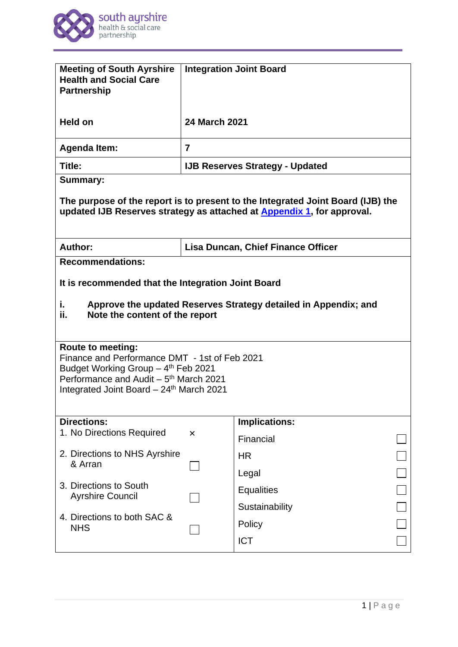

| <b>Meeting of South Ayrshire</b><br><b>Health and Social Care</b><br><b>Partnership</b>                                                                                                                                                                                                                                                                                                    | <b>Integration Joint Board</b>            |                                     |
|--------------------------------------------------------------------------------------------------------------------------------------------------------------------------------------------------------------------------------------------------------------------------------------------------------------------------------------------------------------------------------------------|-------------------------------------------|-------------------------------------|
| Held on                                                                                                                                                                                                                                                                                                                                                                                    | <b>24 March 2021</b>                      |                                     |
| <b>Agenda Item:</b>                                                                                                                                                                                                                                                                                                                                                                        | $\overline{7}$                            |                                     |
| Title:                                                                                                                                                                                                                                                                                                                                                                                     | <b>IJB Reserves Strategy - Updated</b>    |                                     |
| <b>Summary:</b><br>The purpose of the report is to present to the Integrated Joint Board (IJB) the<br>updated IJB Reserves strategy as attached at <b>Appendix 1</b> , for approval.                                                                                                                                                                                                       |                                           |                                     |
| Author:                                                                                                                                                                                                                                                                                                                                                                                    | <b>Lisa Duncan, Chief Finance Officer</b> |                                     |
| It is recommended that the Integration Joint Board<br>Approve the updated Reserves Strategy detailed in Appendix; and<br>i.<br>ii.<br>Note the content of the report<br><b>Route to meeting:</b><br>Finance and Performance DMT - 1st of Feb 2021<br>Budget Working Group - 4th Feb 2021<br>Performance and Audit – 5 <sup>th</sup> March 2021<br>Integrated Joint Board - 24th March 2021 |                                           |                                     |
| <b>Directions:</b><br>1. No Directions Required                                                                                                                                                                                                                                                                                                                                            |                                           | Implications:                       |
| 2. Directions to NHS Ayrshire<br>& Arran                                                                                                                                                                                                                                                                                                                                                   | ×                                         | Financial<br><b>HR</b><br>Legal     |
| 3. Directions to South<br><b>Ayrshire Council</b>                                                                                                                                                                                                                                                                                                                                          |                                           | <b>Equalities</b><br>Sustainability |
| 4. Directions to both SAC &<br><b>NHS</b>                                                                                                                                                                                                                                                                                                                                                  |                                           | Policy<br><b>ICT</b>                |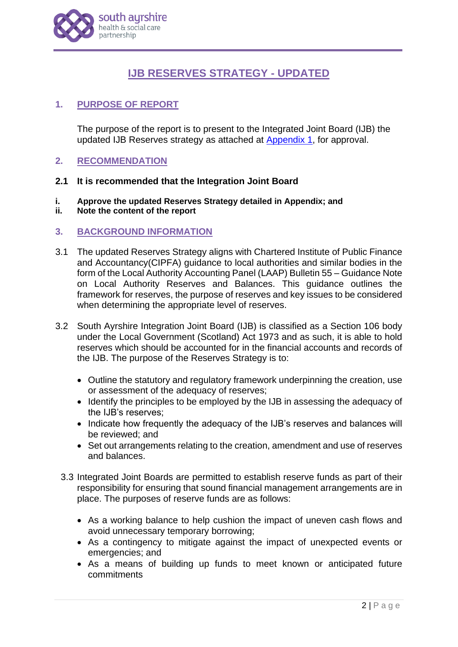

# **IJB RESERVES STRATEGY - UPDATED**

# **1. PURPOSE OF REPORT**

The purpose of the report is to present to the Integrated Joint Board (IJB) the updated IJB Reserves strategy as attached at [Appendix 1,](http://www.south-ayrshire.gov.uk/health-social-care-partnership/documents/Item%207%20-%20IJB%20Reserves%20Strategy%20App%201.pdf) for approval.

# **2. RECOMMENDATION**

# **2.1 It is recommended that the Integration Joint Board**

- **i. Approve the updated Reserves Strategy detailed in Appendix; and**
- **ii. Note the content of the report**

# **3. BACKGROUND INFORMATION**

- 3.1 The updated Reserves Strategy aligns with Chartered Institute of Public Finance and Accountancy(CIPFA) guidance to local authorities and similar bodies in the form of the Local Authority Accounting Panel (LAAP) Bulletin 55 – Guidance Note on Local Authority Reserves and Balances. This guidance outlines the framework for reserves, the purpose of reserves and key issues to be considered when determining the appropriate level of reserves.
- 3.2 South Ayrshire Integration Joint Board (IJB) is classified as a Section 106 body under the Local Government (Scotland) Act 1973 and as such, it is able to hold reserves which should be accounted for in the financial accounts and records of the IJB. The purpose of the Reserves Strategy is to:
	- Outline the statutory and regulatory framework underpinning the creation, use or assessment of the adequacy of reserves;
	- Identify the principles to be employed by the IJB in assessing the adequacy of the IJB's reserves;
	- Indicate how frequently the adequacy of the IJB's reserves and balances will be reviewed; and
	- Set out arrangements relating to the creation, amendment and use of reserves and balances.
	- 3.3 Integrated Joint Boards are permitted to establish reserve funds as part of their responsibility for ensuring that sound financial management arrangements are in place. The purposes of reserve funds are as follows:
		- As a working balance to help cushion the impact of uneven cash flows and avoid unnecessary temporary borrowing;
		- As a contingency to mitigate against the impact of unexpected events or emergencies; and
		- As a means of building up funds to meet known or anticipated future commitments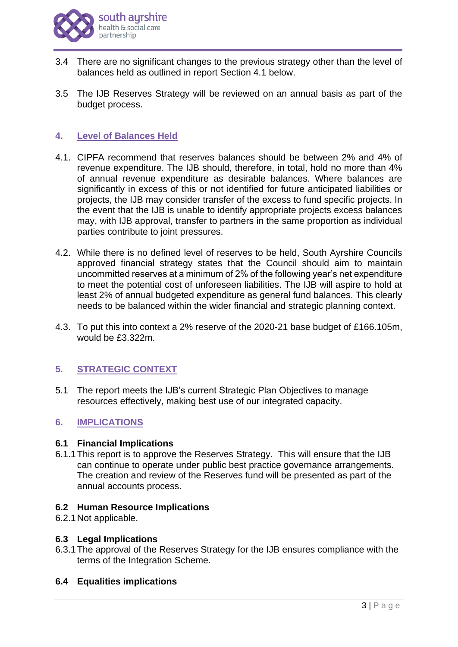

- 3.4 There are no significant changes to the previous strategy other than the level of balances held as outlined in report Section 4.1 below.
- 3.5 The IJB Reserves Strategy will be reviewed on an annual basis as part of the budget process.

# **4. Level of Balances Held**

- 4.1. CIPFA recommend that reserves balances should be between 2% and 4% of revenue expenditure. The IJB should, therefore, in total, hold no more than 4% of annual revenue expenditure as desirable balances. Where balances are significantly in excess of this or not identified for future anticipated liabilities or projects, the IJB may consider transfer of the excess to fund specific projects. In the event that the IJB is unable to identify appropriate projects excess balances may, with IJB approval, transfer to partners in the same proportion as individual parties contribute to joint pressures.
- 4.2. While there is no defined level of reserves to be held, South Ayrshire Councils approved financial strategy states that the Council should aim to maintain uncommitted reserves at a minimum of 2% of the following year's net expenditure to meet the potential cost of unforeseen liabilities. The IJB will aspire to hold at least 2% of annual budgeted expenditure as general fund balances. This clearly needs to be balanced within the wider financial and strategic planning context.
- 4.3. To put this into context a 2% reserve of the 2020-21 base budget of £166.105m, would be £3.322m.

# **5. STRATEGIC CONTEXT**

5.1 The report meets the IJB's current Strategic Plan Objectives to manage resources effectively, making best use of our integrated capacity.

### **6. IMPLICATIONS**

### **6.1 Financial Implications**

6.1.1This report is to approve the Reserves Strategy. This will ensure that the IJB can continue to operate under public best practice governance arrangements. The creation and review of the Reserves fund will be presented as part of the annual accounts process.

#### **6.2 Human Resource Implications**

6.2.1Not applicable.

### **6.3 Legal Implications**

6.3.1The approval of the Reserves Strategy for the IJB ensures compliance with the terms of the Integration Scheme.

### **6.4 Equalities implications**